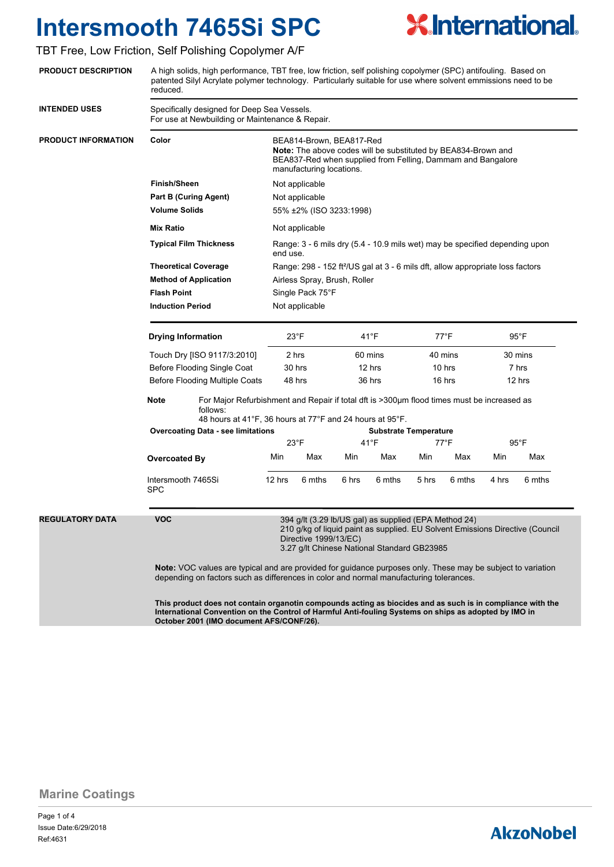

### TBT Free, Low Friction, Self Polishing Copolymer A/F

| <b>PRODUCT DESCRIPTION</b> |
|----------------------------|
|                            |

A high solids, high performance, TBT free, low friction, self polishing copolymer (SPC) antifouling. Based on patented Silyl Acrylate polymer technology. Particularly suitable for use where solvent emmissions need to be reduced.

| <b>INTENDED USES</b>       | Specifically designed for Deep Sea Vessels.<br>For use at Newbuilding or Maintenance & Repair.                                                                                                                                                                                                                                                                                                                                               |                                                                                                                                                                                                                     |                                                                                                                                                                                      |                                                                                                                                                                                                                                                             |                |        |                              |        |                |        |  |
|----------------------------|----------------------------------------------------------------------------------------------------------------------------------------------------------------------------------------------------------------------------------------------------------------------------------------------------------------------------------------------------------------------------------------------------------------------------------------------|---------------------------------------------------------------------------------------------------------------------------------------------------------------------------------------------------------------------|--------------------------------------------------------------------------------------------------------------------------------------------------------------------------------------|-------------------------------------------------------------------------------------------------------------------------------------------------------------------------------------------------------------------------------------------------------------|----------------|--------|------------------------------|--------|----------------|--------|--|
| <b>PRODUCT INFORMATION</b> | Color                                                                                                                                                                                                                                                                                                                                                                                                                                        |                                                                                                                                                                                                                     | BEA814-Brown, BEA817-Red<br>Note: The above codes will be substituted by BEA834-Brown and<br>BEA837-Red when supplied from Felling, Dammam and Bangalore<br>manufacturing locations. |                                                                                                                                                                                                                                                             |                |        |                              |        |                |        |  |
|                            | <b>Finish/Sheen</b>                                                                                                                                                                                                                                                                                                                                                                                                                          |                                                                                                                                                                                                                     | Not applicable<br>Not applicable                                                                                                                                                     |                                                                                                                                                                                                                                                             |                |        |                              |        |                |        |  |
|                            | <b>Part B (Curing Agent)</b>                                                                                                                                                                                                                                                                                                                                                                                                                 |                                                                                                                                                                                                                     |                                                                                                                                                                                      |                                                                                                                                                                                                                                                             |                |        |                              |        |                |        |  |
|                            | <b>Volume Solids</b>                                                                                                                                                                                                                                                                                                                                                                                                                         |                                                                                                                                                                                                                     |                                                                                                                                                                                      | 55% ±2% (ISO 3233:1998)                                                                                                                                                                                                                                     |                |        |                              |        |                |        |  |
|                            | <b>Mix Ratio</b>                                                                                                                                                                                                                                                                                                                                                                                                                             |                                                                                                                                                                                                                     |                                                                                                                                                                                      | Not applicable                                                                                                                                                                                                                                              |                |        |                              |        |                |        |  |
|                            | <b>Typical Film Thickness</b><br><b>Theoretical Coverage</b><br><b>Method of Application</b>                                                                                                                                                                                                                                                                                                                                                 |                                                                                                                                                                                                                     |                                                                                                                                                                                      | Range: 3 - 6 mils dry (5.4 - 10.9 mils wet) may be specified depending upon<br>end use.<br>Range: 298 - 152 ft <sup>2</sup> /US gal at 3 - 6 mils dft, allow appropriate loss factors<br>Airless Spray, Brush, Roller<br>Single Pack 75°F<br>Not applicable |                |        |                              |        |                |        |  |
|                            |                                                                                                                                                                                                                                                                                                                                                                                                                                              |                                                                                                                                                                                                                     |                                                                                                                                                                                      |                                                                                                                                                                                                                                                             |                |        |                              |        |                |        |  |
|                            |                                                                                                                                                                                                                                                                                                                                                                                                                                              |                                                                                                                                                                                                                     |                                                                                                                                                                                      |                                                                                                                                                                                                                                                             |                |        |                              |        |                |        |  |
|                            |                                                                                                                                                                                                                                                                                                                                                                                                                                              | <b>Flash Point</b><br><b>Induction Period</b>                                                                                                                                                                       |                                                                                                                                                                                      |                                                                                                                                                                                                                                                             |                |        |                              |        |                |        |  |
|                            |                                                                                                                                                                                                                                                                                                                                                                                                                                              |                                                                                                                                                                                                                     |                                                                                                                                                                                      |                                                                                                                                                                                                                                                             |                |        |                              |        |                |        |  |
|                            | <b>Drying Information</b>                                                                                                                                                                                                                                                                                                                                                                                                                    |                                                                                                                                                                                                                     | $23^{\circ}F$                                                                                                                                                                        |                                                                                                                                                                                                                                                             | $41^{\circ}$ F |        | $77^{\circ}$ F               |        | $95^{\circ}$ F |        |  |
|                            | Touch Dry [ISO 9117/3:2010]                                                                                                                                                                                                                                                                                                                                                                                                                  |                                                                                                                                                                                                                     | 2 hrs                                                                                                                                                                                |                                                                                                                                                                                                                                                             | 60 mins        |        | 40 mins                      |        | 30 mins        |        |  |
|                            | Before Flooding Single Coat                                                                                                                                                                                                                                                                                                                                                                                                                  |                                                                                                                                                                                                                     | 30 hrs                                                                                                                                                                               |                                                                                                                                                                                                                                                             | 12 hrs         |        | 10 hrs                       |        | 7 hrs          |        |  |
|                            | Before Flooding Multiple Coats                                                                                                                                                                                                                                                                                                                                                                                                               |                                                                                                                                                                                                                     | 48 hrs                                                                                                                                                                               |                                                                                                                                                                                                                                                             | 36 hrs         |        | 16 hrs                       |        | 12 hrs         |        |  |
|                            | <b>Note</b><br>For Major Refurbishment and Repair if total dft is >300µm flood times must be increased as<br>follows:<br>48 hours at 41°F, 36 hours at 77°F and 24 hours at 95°F.                                                                                                                                                                                                                                                            |                                                                                                                                                                                                                     |                                                                                                                                                                                      |                                                                                                                                                                                                                                                             |                |        |                              |        |                |        |  |
|                            | <b>Overcoating Data - see limitations</b>                                                                                                                                                                                                                                                                                                                                                                                                    |                                                                                                                                                                                                                     | $23^{\circ}$ F                                                                                                                                                                       |                                                                                                                                                                                                                                                             |                |        | <b>Substrate Temperature</b> |        |                |        |  |
|                            |                                                                                                                                                                                                                                                                                                                                                                                                                                              |                                                                                                                                                                                                                     |                                                                                                                                                                                      |                                                                                                                                                                                                                                                             | $41^{\circ}F$  |        | 77°F                         |        | $95^{\circ}$ F |        |  |
|                            | <b>Overcoated By</b>                                                                                                                                                                                                                                                                                                                                                                                                                         |                                                                                                                                                                                                                     | Min                                                                                                                                                                                  | Max                                                                                                                                                                                                                                                         | Min            | Max    | Min                          | Max    | Min            | Max    |  |
|                            | Intersmooth 7465Si<br><b>SPC</b>                                                                                                                                                                                                                                                                                                                                                                                                             |                                                                                                                                                                                                                     | 12 hrs                                                                                                                                                                               | 6 mths                                                                                                                                                                                                                                                      | 6 hrs          | 6 mths | 5 hrs                        | 6 mths | 4 hrs          | 6 mths |  |
| <b>REGULATORY DATA</b>     | <b>VOC</b><br>394 g/lt (3.29 lb/US gal) as supplied (EPA Method 24)<br>210 g/kg of liquid paint as supplied. EU Solvent Emissions Directive (Council<br>Directive 1999/13/EC)<br>3.27 g/lt Chinese National Standard GB23985<br><b>Note:</b> VOC values are typical and are provided for guidance purposes only. These may be subject to variation<br>depending on factors such as differences in color and normal manufacturing tolerances. |                                                                                                                                                                                                                     |                                                                                                                                                                                      |                                                                                                                                                                                                                                                             |                |        |                              |        |                |        |  |
|                            |                                                                                                                                                                                                                                                                                                                                                                                                                                              | This product does not contain organotin compounds acting as biocides and as such is in compliance with the<br>International Convention on the Control of Harmful Anti-fouling Systems on ships as adopted by IMO in |                                                                                                                                                                                      |                                                                                                                                                                                                                                                             |                |        |                              |        |                |        |  |

**October 2001 (IMO document AFS/CONF/26).**

**Marine Coatings**

Page 1 of 4 Ref:4631 Issue Date:6/29/2018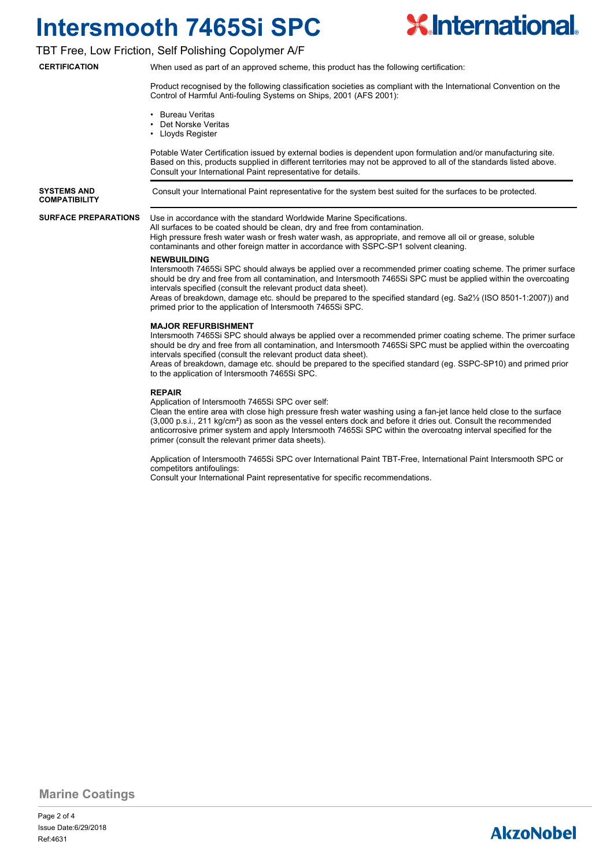

### TBT Free, Low Friction, Self Polishing Copolymer A/F

**CERTIFICATION**

When used as part of an approved scheme, this product has the following certification:

Product recognised by the following classification societies as compliant with the International Convention on the Control of Harmful Anti-fouling Systems on Ships, 2001 (AFS 2001):

- Bureau Veritas
- Det Norske Veritas
- Lloyds Register

Potable Water Certification issued by external bodies is dependent upon formulation and/or manufacturing site. Based on this, products supplied in different territories may not be approved to all of the standards listed above. Consult your International Paint representative for details.

**COMPATIBILITY**

**SYSTEMS AND** Consult your International Paint representative for the system best suited for the surfaces to be protected.

#### **SURFACE PREPARATIONS**

Use in accordance with the standard Worldwide Marine Specifications.

All surfaces to be coated should be clean, dry and free from contamination. High pressure fresh water wash or fresh water wash, as appropriate, and remove all oil or grease, soluble contaminants and other foreign matter in accordance with SSPC-SP1 solvent cleaning.

#### **NEWBUILDING**

Intersmooth 7465Si SPC should always be applied over a recommended primer coating scheme. The primer surface should be dry and free from all contamination, and Intersmooth 7465Si SPC must be applied within the overcoating intervals specified (consult the relevant product data sheet).

Areas of breakdown, damage etc. should be prepared to the specified standard (eg. Sa2½ (ISO 8501-1:2007)) and primed prior to the application of Intersmooth 7465Si SPC.

#### **MAJOR REFURBISHMENT**

Intersmooth 7465Si SPC should always be applied over a recommended primer coating scheme. The primer surface should be dry and free from all contamination, and Intersmooth 7465Si SPC must be applied within the overcoating intervals specified (consult the relevant product data sheet).

Areas of breakdown, damage etc. should be prepared to the specified standard (eg. SSPC-SP10) and primed prior to the application of Intersmooth 7465Si SPC.

#### **REPAIR**

Application of Intersmooth 7465Si SPC over self:

Clean the entire area with close high pressure fresh water washing using a fan-jet lance held close to the surface (3,000 p.s.i., 211 kg/cm²) as soon as the vessel enters dock and before it dries out. Consult the recommended anticorrosive primer system and apply Intersmooth 7465Si SPC within the overcoatng interval specified for the primer (consult the relevant primer data sheets).

Application of Intersmooth 7465Si SPC over International Paint TBT-Free, International Paint Intersmooth SPC or competitors antifoulings:

Consult your International Paint representative for specific recommendations.

**Marine Coatings**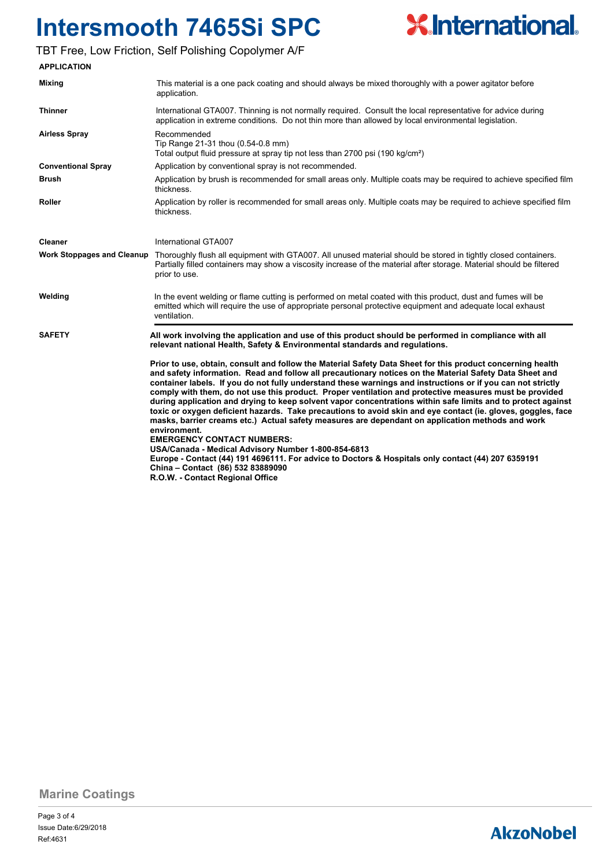

## TBT Free, Low Friction, Self Polishing Copolymer A/F

| <b>APPLICATION</b>                |                                                                                                                                                                                                                                                                                                                                                                                                                                                                                                                                                                                                                                                                                                                                                                                                                                                                                                                                                                                                                                                                                                                                                                                                                                                                       |
|-----------------------------------|-----------------------------------------------------------------------------------------------------------------------------------------------------------------------------------------------------------------------------------------------------------------------------------------------------------------------------------------------------------------------------------------------------------------------------------------------------------------------------------------------------------------------------------------------------------------------------------------------------------------------------------------------------------------------------------------------------------------------------------------------------------------------------------------------------------------------------------------------------------------------------------------------------------------------------------------------------------------------------------------------------------------------------------------------------------------------------------------------------------------------------------------------------------------------------------------------------------------------------------------------------------------------|
| Mixing                            | This material is a one pack coating and should always be mixed thoroughly with a power agitator before<br>application.                                                                                                                                                                                                                                                                                                                                                                                                                                                                                                                                                                                                                                                                                                                                                                                                                                                                                                                                                                                                                                                                                                                                                |
| <b>Thinner</b>                    | International GTA007. Thinning is not normally required. Consult the local representative for advice during<br>application in extreme conditions. Do not thin more than allowed by local environmental legislation.                                                                                                                                                                                                                                                                                                                                                                                                                                                                                                                                                                                                                                                                                                                                                                                                                                                                                                                                                                                                                                                   |
| <b>Airless Spray</b>              | Recommended<br>Tip Range 21-31 thou (0.54-0.8 mm)<br>Total output fluid pressure at spray tip not less than 2700 psi (190 kg/cm <sup>2</sup> )                                                                                                                                                                                                                                                                                                                                                                                                                                                                                                                                                                                                                                                                                                                                                                                                                                                                                                                                                                                                                                                                                                                        |
| <b>Conventional Spray</b>         | Application by conventional spray is not recommended.                                                                                                                                                                                                                                                                                                                                                                                                                                                                                                                                                                                                                                                                                                                                                                                                                                                                                                                                                                                                                                                                                                                                                                                                                 |
| Brush                             | Application by brush is recommended for small areas only. Multiple coats may be required to achieve specified film<br>thickness.                                                                                                                                                                                                                                                                                                                                                                                                                                                                                                                                                                                                                                                                                                                                                                                                                                                                                                                                                                                                                                                                                                                                      |
| Roller                            | Application by roller is recommended for small areas only. Multiple coats may be required to achieve specified film<br>thickness.                                                                                                                                                                                                                                                                                                                                                                                                                                                                                                                                                                                                                                                                                                                                                                                                                                                                                                                                                                                                                                                                                                                                     |
| Cleaner                           | International GTA007                                                                                                                                                                                                                                                                                                                                                                                                                                                                                                                                                                                                                                                                                                                                                                                                                                                                                                                                                                                                                                                                                                                                                                                                                                                  |
| <b>Work Stoppages and Cleanup</b> | Thoroughly flush all equipment with GTA007. All unused material should be stored in tightly closed containers.<br>Partially filled containers may show a viscosity increase of the material after storage. Material should be filtered<br>prior to use.                                                                                                                                                                                                                                                                                                                                                                                                                                                                                                                                                                                                                                                                                                                                                                                                                                                                                                                                                                                                               |
| Welding                           | In the event welding or flame cutting is performed on metal coated with this product, dust and fumes will be<br>emitted which will require the use of appropriate personal protective equipment and adequate local exhaust<br>ventilation.                                                                                                                                                                                                                                                                                                                                                                                                                                                                                                                                                                                                                                                                                                                                                                                                                                                                                                                                                                                                                            |
| <b>SAFETY</b>                     | All work involving the application and use of this product should be performed in compliance with all<br>relevant national Health, Safety & Environmental standards and regulations.<br>Prior to use, obtain, consult and follow the Material Safety Data Sheet for this product concerning health<br>and safety information. Read and follow all precautionary notices on the Material Safety Data Sheet and<br>container labels. If you do not fully understand these warnings and instructions or if you can not strictly<br>comply with them, do not use this product. Proper ventilation and protective measures must be provided<br>during application and drying to keep solvent vapor concentrations within safe limits and to protect against<br>toxic or oxygen deficient hazards. Take precautions to avoid skin and eye contact (ie. gloves, goggles, face<br>masks, barrier creams etc.) Actual safety measures are dependant on application methods and work<br>environment.<br><b>EMERGENCY CONTACT NUMBERS:</b><br>USA/Canada - Medical Advisory Number 1-800-854-6813<br>Europe - Contact (44) 191 4696111. For advice to Doctors & Hospitals only contact (44) 207 6359191<br>China - Contact (86) 532 83889090<br>R.O.W. - Contact Regional Office |

**Marine Coatings**